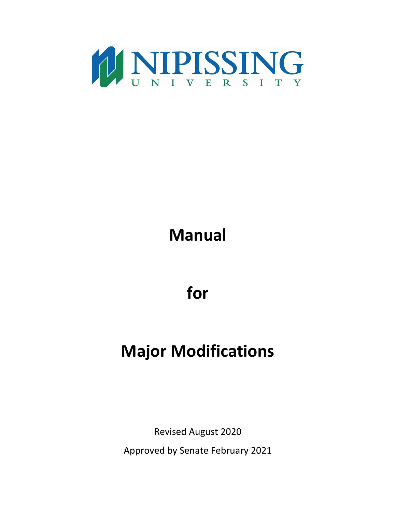

## **Manual**

**for**

## **Major Modifications**

Revised August 2020

Approved by Senate February 2021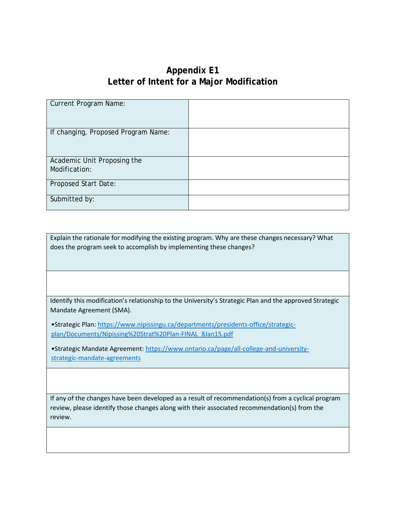## **Appendix E1 Letter of Intent for a Major Modification**

| <b>Current Program Name:</b>        |  |
|-------------------------------------|--|
| If changing, Proposed Program Name: |  |
| Academic Unit Proposing the         |  |
| Modification:                       |  |
| Proposed Start Date:                |  |
| Submitted by:                       |  |

Explain the rationale for modifying the existing program. Why are these changes necessary? What does the program seek to accomplish by implementing these changes?

Identify this modification's relationship to the University's Strategic Plan and the approved Strategic Mandate Agreement (SMA).

•Strategic Plan: [https://www.nipissingu.ca/departments/presidents](https://www.nipissingu.ca/departments/presidents-office/strategic-plan/Documents/Nipissing%20Strat%20Plan-FINAL_8Jan15.pdf)-office/strategic[plan/Documents/Nipissing%20Strat%20Plan](https://www.nipissingu.ca/departments/presidents-office/strategic-plan/Documents/Nipissing%20Strat%20Plan-FINAL_8Jan15.pdf)-FINAL\_8Jan15.pdf

•Strategic Mandate Agreement: h[ttps://www.ontario.ca/page/all](https://www.ontario.ca/page/all-college-and-university-strategic-mandate-agreements)-college-and-university[strategic-mandate-agreements](https://www.ontario.ca/page/all-college-and-university-strategic-mandate-agreements)

If any of the changes have been developed as a result of recommendation(s) from a cyclical program review, please identify those changes along with their associated recommendation(s) from the review.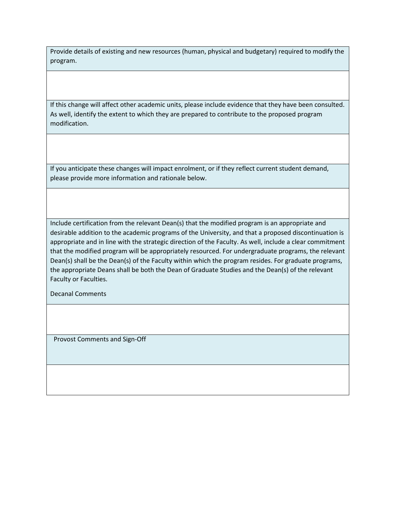Provide details of existing and new resources (human, physical and budgetary) required to modify the program.

If this change will affect other academic units, please include evidence that they have been consulted. As well, identify the extent to which they are prepared to contribute to the proposed program modification.

If you anticipate these changes will impact enrolment, or if they reflect current student demand, please provide more information and rationale below.

Include certification from the relevant Dean(s) that the modified program is an appropriate and desirable addition to the academic programs of the University, and that a proposed discontinuation is appropriate and in line with the strategic direction of the Faculty. As well, include a clear commitment that the modified program will be appropriately resourced. For undergraduate programs, the relevant Dean(s) shall be the Dean(s) of the Faculty within which the program resides. For graduate programs, the appropriate Deans shall be both the Dean of Graduate Studies and the Dean(s) of the relevant Faculty or Faculties.

Decanal Comments

Provost Comments and Sign-Off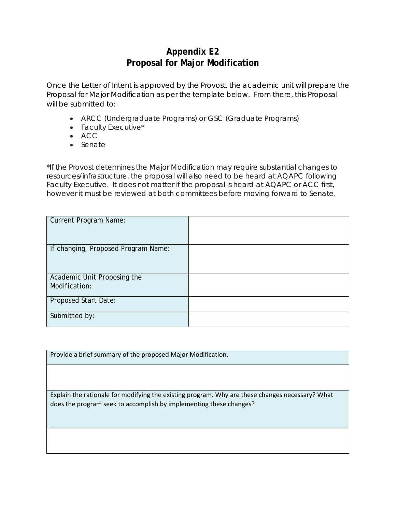## **Appendix E2 Proposal for Major Modification**

Once the Letter of Intent is approved by the Provost, the academic unit will prepare the Proposal for Major Modification as per the template below. From there, this Proposal will be submitted to:

- ARCC (Undergraduate Programs) or GSC (Graduate Programs)
- Faculty Executive\*
- ACC
- Senate

\*If the Provost determines the Major Modification may require substantial changes to resources/infrastructure, the proposal will also need to be heard at AQAPC following Faculty Executive. It does not matter if the proposal is heard at AQAPC or ACC first, however it must be reviewed at both committees before moving forward to Senate.

| <b>Current Program Name:</b>        |  |
|-------------------------------------|--|
| If changing, Proposed Program Name: |  |
| Academic Unit Proposing the         |  |
| Modification:                       |  |
| Proposed Start Date:                |  |
| Submitted by:                       |  |

Provide a brief summary of the proposed Major Modification.

Explain the rationale for modifying the existing program. Why are these changes necessary? What does the program seek to accomplish by implementing these changes?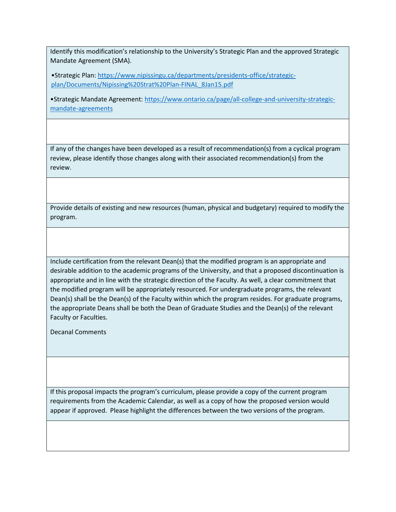Identify this modification's relationship to the University's Strategic Plan and the approved Strategic Mandate Agreement (SMA).

•Strategic Plan: [https://www.nipissingu.ca/departments/presidents](https://www.nipissingu.ca/departments/presidents-office/strategic-plan/Documents/Nipissing%20Strat%20Plan-FINAL_8Jan15.pdf)-office/strategic[plan/Documents/Nipissing%20Strat%20Plan](https://www.nipissingu.ca/departments/presidents-office/strategic-plan/Documents/Nipissing%20Strat%20Plan-FINAL_8Jan15.pdf)-FINAL\_8Jan15.pdf

•Strategic Mandate Agreement[: https://www.ontario.ca/page/all](https://www.ontario.ca/page/all-college-and-university-strategic-mandate-agreements)-college-and-university-strategic[mandate-agreements](https://www.ontario.ca/page/all-college-and-university-strategic-mandate-agreements)

If any of the changes have been developed as a result of recommendation(s) from a cyclical program review, please identify those changes along with their associated recommendation(s) from the review.

Provide details of existing and new resources (human, physical and budgetary) required to modify the program.

Include certification from the relevant Dean(s) that the modified program is an appropriate and desirable addition to the academic programs of the University, and that a proposed discontinuation is appropriate and in line with the strategic direction of the Faculty. As well, a clear commitment that the modified program will be appropriately resourced. For undergraduate programs, the relevant Dean(s) shall be the Dean(s) of the Faculty within which the program resides. For graduate programs, the appropriate Deans shall be both the Dean of Graduate Studies and the Dean(s) of the relevant Faculty or Faculties.

Decanal Comments

If this proposal impacts the program's curriculum, please provide a copy of the current program requirements from the Academic Calendar, as well as a copy of how the proposed version would appear if approved. Please highlight the differences between the two versions of the program.